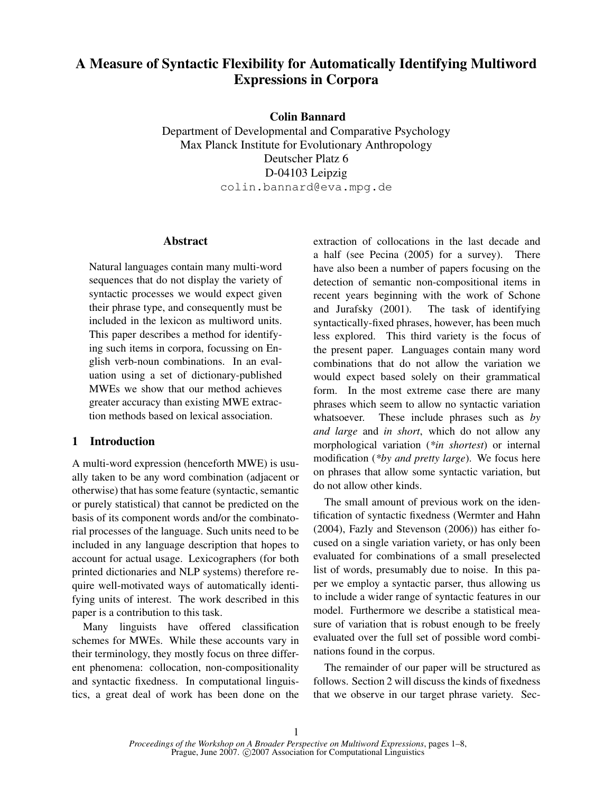# A Measure of Syntactic Flexibility for Automatically Identifying Multiword Expressions in Corpora

Colin Bannard

Department of Developmental and Comparative Psychology Max Planck Institute for Evolutionary Anthropology Deutscher Platz 6 D-04103 Leipzig colin.bannard@eva.mpg.de

#### Abstract

Natural languages contain many multi-word sequences that do not display the variety of syntactic processes we would expect given their phrase type, and consequently must be included in the lexicon as multiword units. This paper describes a method for identifying such items in corpora, focussing on English verb-noun combinations. In an evaluation using a set of dictionary-published MWEs we show that our method achieves greater accuracy than existing MWE extraction methods based on lexical association.

## 1 Introduction

A multi-word expression (henceforth MWE) is usually taken to be any word combination (adjacent or otherwise) that has some feature (syntactic, semantic or purely statistical) that cannot be predicted on the basis of its component words and/or the combinatorial processes of the language. Such units need to be included in any language description that hopes to account for actual usage. Lexicographers (for both printed dictionaries and NLP systems) therefore require well-motivated ways of automatically identifying units of interest. The work described in this paper is a contribution to this task.

Many linguists have offered classification schemes for MWEs. While these accounts vary in their terminology, they mostly focus on three different phenomena: collocation, non-compositionality and syntactic fixedness. In computational linguistics, a great deal of work has been done on the extraction of collocations in the last decade and a half (see Pecina (2005) for a survey). There have also been a number of papers focusing on the detection of semantic non-compositional items in recent years beginning with the work of Schone and Jurafsky (2001). The task of identifying syntactically-fixed phrases, however, has been much less explored. This third variety is the focus of the present paper. Languages contain many word combinations that do not allow the variation we would expect based solely on their grammatical form. In the most extreme case there are many phrases which seem to allow no syntactic variation whatsoever. These include phrases such as *by and large* and *in short*, which do not allow any morphological variation (*\*in shortest*) or internal modification (*\*by and pretty large*). We focus here on phrases that allow some syntactic variation, but do not allow other kinds.

The small amount of previous work on the identification of syntactic fixedness (Wermter and Hahn (2004), Fazly and Stevenson (2006)) has either focused on a single variation variety, or has only been evaluated for combinations of a small preselected list of words, presumably due to noise. In this paper we employ a syntactic parser, thus allowing us to include a wider range of syntactic features in our model. Furthermore we describe a statistical measure of variation that is robust enough to be freely evaluated over the full set of possible word combinations found in the corpus.

The remainder of our paper will be structured as follows. Section 2 will discuss the kinds of fixedness that we observe in our target phrase variety. Sec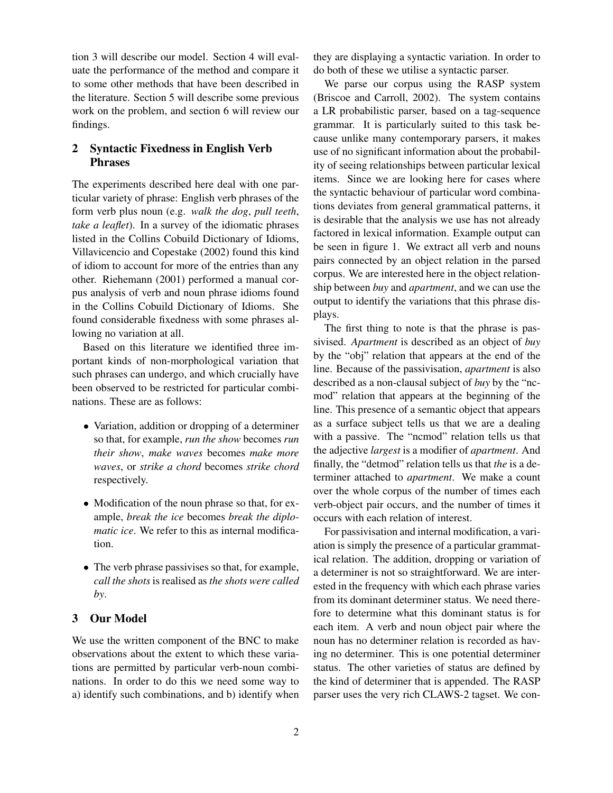tion 3 will describe our model. Section 4 will evaluate the performance of the method and compare it to some other methods that have been described in the literature. Section 5 will describe some previous work on the problem, and section 6 will review our findings.

# 2 Syntactic Fixedness in English Verb Phrases

The experiments described here deal with one particular variety of phrase: English verb phrases of the form verb plus noun (e.g. *walk the dog*, *pull teeth*, *take a leaflet*). In a survey of the idiomatic phrases listed in the Collins Cobuild Dictionary of Idioms, Villavicencio and Copestake (2002) found this kind of idiom to account for more of the entries than any other. Riehemann (2001) performed a manual corpus analysis of verb and noun phrase idioms found in the Collins Cobuild Dictionary of Idioms. She found considerable fixedness with some phrases allowing no variation at all.

Based on this literature we identified three important kinds of non-morphological variation that such phrases can undergo, and which crucially have been observed to be restricted for particular combinations. These are as follows:

- Variation, addition or dropping of a determiner so that, for example, *run the show* becomes *run their show*, *make waves* becomes *make more waves*, or *strike a chord* becomes *strike chord* respectively.
- Modification of the noun phrase so that, for example, *break the ice* becomes *break the diplomatic ice*. We refer to this as internal modification.
- The verb phrase passivises so that, for example, *call the shots* is realised as *the shots were called by*.

# 3 Our Model

We use the written component of the BNC to make observations about the extent to which these variations are permitted by particular verb-noun combinations. In order to do this we need some way to a) identify such combinations, and b) identify when

they are displaying a syntactic variation. In order to do both of these we utilise a syntactic parser.

We parse our corpus using the RASP system (Briscoe and Carroll, 2002). The system contains a LR probabilistic parser, based on a tag-sequence grammar. It is particularly suited to this task because unlike many contemporary parsers, it makes use of no significant information about the probability of seeing relationships between particular lexical items. Since we are looking here for cases where the syntactic behaviour of particular word combinations deviates from general grammatical patterns, it is desirable that the analysis we use has not already factored in lexical information. Example output can be seen in figure 1. We extract all verb and nouns pairs connected by an object relation in the parsed corpus. We are interested here in the object relationship between *buy* and *apartment*, and we can use the output to identify the variations that this phrase displays.

The first thing to note is that the phrase is passivised. *Apartment* is described as an object of *buy* by the "obj" relation that appears at the end of the line. Because of the passivisation, *apartment* is also described as a non-clausal subject of *buy* by the "ncmod" relation that appears at the beginning of the line. This presence of a semantic object that appears as a surface subject tells us that we are a dealing with a passive. The "ncmod" relation tells us that the adjective *largest* is a modifier of *apartment*. And finally, the "detmod" relation tells us that *the* is a determiner attached to *apartment*. We make a count over the whole corpus of the number of times each verb-object pair occurs, and the number of times it occurs with each relation of interest.

For passivisation and internal modification, a variation is simply the presence of a particular grammatical relation. The addition, dropping or variation of a determiner is not so straightforward. We are interested in the frequency with which each phrase varies from its dominant determiner status. We need therefore to determine what this dominant status is for each item. A verb and noun object pair where the noun has no determiner relation is recorded as having no determiner. This is one potential determiner status. The other varieties of status are defined by the kind of determiner that is appended. The RASP parser uses the very rich CLAWS-2 tagset. We con-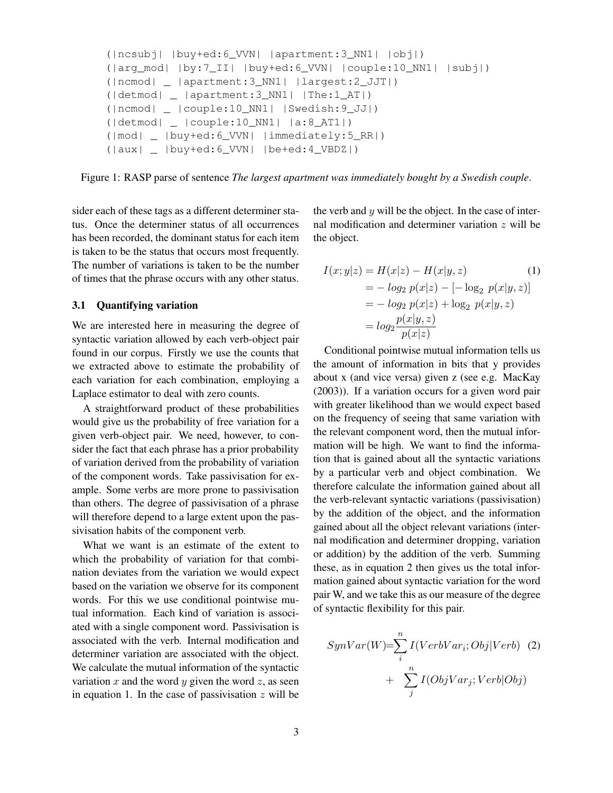```
(|ncsubj| |buy+ed:6_VVN| |apartment:3_NN1| |obj|)
(|arg_mod| |by:7_II| |buy+ed:6_VVN| |couple:10_NN1| |subj|)
(|ncmod| _ |apartment:3_NN1| |largest:2_JJT|)
(|detmod| _ |apartment:3_NN1| |The:1_AT|)
(|ncmod| _ |couple:10_NN1| |Swedish:9_JJ|)
(|detmod| _ |couple:10_NN1| |a:8_AT1|)
(|mod| _ |buy+ed:6_VVN| |immediately:5_RR|)
(|aux| _ |buy+ed:6_VVN| |be+ed:4_VBDZ|)
```
Figure 1: RASP parse of sentence *The largest apartment was immediately bought by a Swedish couple*.

sider each of these tags as a different determiner status. Once the determiner status of all occurrences has been recorded, the dominant status for each item is taken to be the status that occurs most frequently. The number of variations is taken to be the number of times that the phrase occurs with any other status.

### 3.1 Quantifying variation

We are interested here in measuring the degree of syntactic variation allowed by each verb-object pair found in our corpus. Firstly we use the counts that we extracted above to estimate the probability of each variation for each combination, employing a Laplace estimator to deal with zero counts.

A straightforward product of these probabilities would give us the probability of free variation for a given verb-object pair. We need, however, to consider the fact that each phrase has a prior probability of variation derived from the probability of variation of the component words. Take passivisation for example. Some verbs are more prone to passivisation than others. The degree of passivisation of a phrase will therefore depend to a large extent upon the passivisation habits of the component verb.

What we want is an estimate of the extent to which the probability of variation for that combination deviates from the variation we would expect based on the variation we observe for its component words. For this we use conditional pointwise mutual information. Each kind of variation is associated with a single component word. Passivisation is associated with the verb. Internal modification and determiner variation are associated with the object. We calculate the mutual information of the syntactic variation x and the word y given the word z, as seen in equation 1. In the case of passivisation  $z$  will be

the verb and  $y$  will be the object. In the case of internal modification and determiner variation z will be the object.

$$
I(x; y|z) = H(x|z) - H(x|y, z)
$$
(1)  
=  $-\log_2 p(x|z) - [-\log_2 p(x|y, z)]$   
=  $-\log_2 p(x|z) + \log_2 p(x|y, z)$   
=  $\log_2 \frac{p(x|y, z)}{p(x|z)}$ 

Conditional pointwise mutual information tells us the amount of information in bits that y provides about x (and vice versa) given z (see e.g. MacKay (2003)). If a variation occurs for a given word pair with greater likelihood than we would expect based on the frequency of seeing that same variation with the relevant component word, then the mutual information will be high. We want to find the information that is gained about all the syntactic variations by a particular verb and object combination. We therefore calculate the information gained about all the verb-relevant syntactic variations (passivisation) by the addition of the object, and the information gained about all the object relevant variations (internal modification and determiner dropping, variation or addition) by the addition of the verb. Summing these, as in equation 2 then gives us the total information gained about syntactic variation for the word pair W, and we take this as our measure of the degree of syntactic flexibility for this pair.

$$
SynVar(W) = \sum_{i}^{n} I(VerbVar_i; Obj|Verb) \quad (2)
$$

$$
+ \sum_{j}^{n} I(ObjVar_j; Verb|Obj)
$$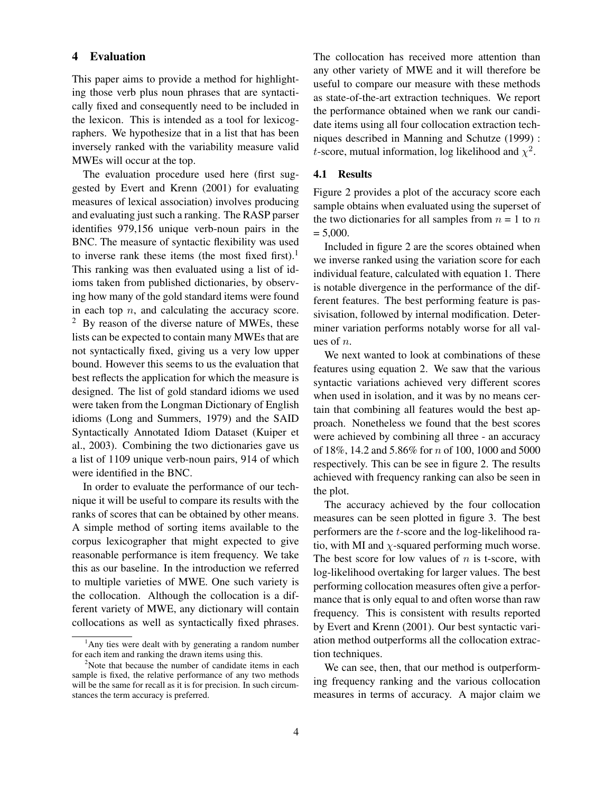# 4 Evaluation

This paper aims to provide a method for highlighting those verb plus noun phrases that are syntactically fixed and consequently need to be included in the lexicon. This is intended as a tool for lexicographers. We hypothesize that in a list that has been inversely ranked with the variability measure valid MWEs will occur at the top.

The evaluation procedure used here (first suggested by Evert and Krenn (2001) for evaluating measures of lexical association) involves producing and evaluating just such a ranking. The RASP parser identifies 979,156 unique verb-noun pairs in the BNC. The measure of syntactic flexibility was used to inverse rank these items (the most fixed first).<sup>1</sup> This ranking was then evaluated using a list of idioms taken from published dictionaries, by observing how many of the gold standard items were found in each top  $n$ , and calculating the accuracy score.  $2$  By reason of the diverse nature of MWEs, these lists can be expected to contain many MWEs that are not syntactically fixed, giving us a very low upper bound. However this seems to us the evaluation that best reflects the application for which the measure is designed. The list of gold standard idioms we used were taken from the Longman Dictionary of English idioms (Long and Summers, 1979) and the SAID Syntactically Annotated Idiom Dataset (Kuiper et al., 2003). Combining the two dictionaries gave us a list of 1109 unique verb-noun pairs, 914 of which were identified in the BNC.

In order to evaluate the performance of our technique it will be useful to compare its results with the ranks of scores that can be obtained by other means. A simple method of sorting items available to the corpus lexicographer that might expected to give reasonable performance is item frequency. We take this as our baseline. In the introduction we referred to multiple varieties of MWE. One such variety is the collocation. Although the collocation is a different variety of MWE, any dictionary will contain collocations as well as syntactically fixed phrases. The collocation has received more attention than any other variety of MWE and it will therefore be useful to compare our measure with these methods as state-of-the-art extraction techniques. We report the performance obtained when we rank our candidate items using all four collocation extraction techniques described in Manning and Schutze (1999) : *t*-score, mutual information, log likelihood and  $\chi^2$ .

#### 4.1 Results

Figure 2 provides a plot of the accuracy score each sample obtains when evaluated using the superset of the two dictionaries for all samples from  $n = 1$  to n  $= 5,000.$ 

Included in figure 2 are the scores obtained when we inverse ranked using the variation score for each individual feature, calculated with equation 1. There is notable divergence in the performance of the different features. The best performing feature is passivisation, followed by internal modification. Determiner variation performs notably worse for all values of n.

We next wanted to look at combinations of these features using equation 2. We saw that the various syntactic variations achieved very different scores when used in isolation, and it was by no means certain that combining all features would the best approach. Nonetheless we found that the best scores were achieved by combining all three - an accuracy of 18%, 14.2 and 5.86% for n of 100, 1000 and 5000 respectively. This can be see in figure 2. The results achieved with frequency ranking can also be seen in the plot.

The accuracy achieved by the four collocation measures can be seen plotted in figure 3. The best performers are the t-score and the log-likelihood ratio, with MI and  $\chi$ -squared performing much worse. The best score for low values of  $n$  is t-score, with log-likelihood overtaking for larger values. The best performing collocation measures often give a performance that is only equal to and often worse than raw frequency. This is consistent with results reported by Evert and Krenn (2001). Our best syntactic variation method outperforms all the collocation extraction techniques.

We can see, then, that our method is outperforming frequency ranking and the various collocation measures in terms of accuracy. A major claim we

 $<sup>1</sup>$ Any ties were dealt with by generating a random number</sup> for each item and ranking the drawn items using this.

<sup>&</sup>lt;sup>2</sup>Note that because the number of candidate items in each sample is fixed, the relative performance of any two methods will be the same for recall as it is for precision. In such circumstances the term accuracy is preferred.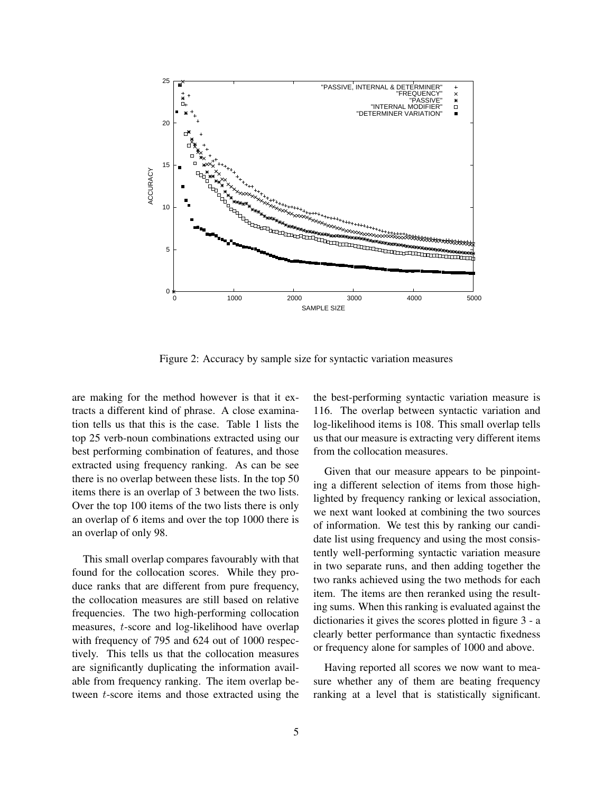

Figure 2: Accuracy by sample size for syntactic variation measures

are making for the method however is that it extracts a different kind of phrase. A close examination tells us that this is the case. Table 1 lists the top 25 verb-noun combinations extracted using our best performing combination of features, and those extracted using frequency ranking. As can be see there is no overlap between these lists. In the top 50 items there is an overlap of 3 between the two lists. Over the top 100 items of the two lists there is only an overlap of 6 items and over the top 1000 there is an overlap of only 98.

This small overlap compares favourably with that found for the collocation scores. While they produce ranks that are different from pure frequency, the collocation measures are still based on relative frequencies. The two high-performing collocation measures, t-score and log-likelihood have overlap with frequency of 795 and 624 out of 1000 respectively. This tells us that the collocation measures are significantly duplicating the information available from frequency ranking. The item overlap between t-score items and those extracted using the the best-performing syntactic variation measure is 116. The overlap between syntactic variation and log-likelihood items is 108. This small overlap tells us that our measure is extracting very different items from the collocation measures.

Given that our measure appears to be pinpointing a different selection of items from those highlighted by frequency ranking or lexical association, we next want looked at combining the two sources of information. We test this by ranking our candidate list using frequency and using the most consistently well-performing syntactic variation measure in two separate runs, and then adding together the two ranks achieved using the two methods for each item. The items are then reranked using the resulting sums. When this ranking is evaluated against the dictionaries it gives the scores plotted in figure 3 - a clearly better performance than syntactic fixedness or frequency alone for samples of 1000 and above.

Having reported all scores we now want to measure whether any of them are beating frequency ranking at a level that is statistically significant.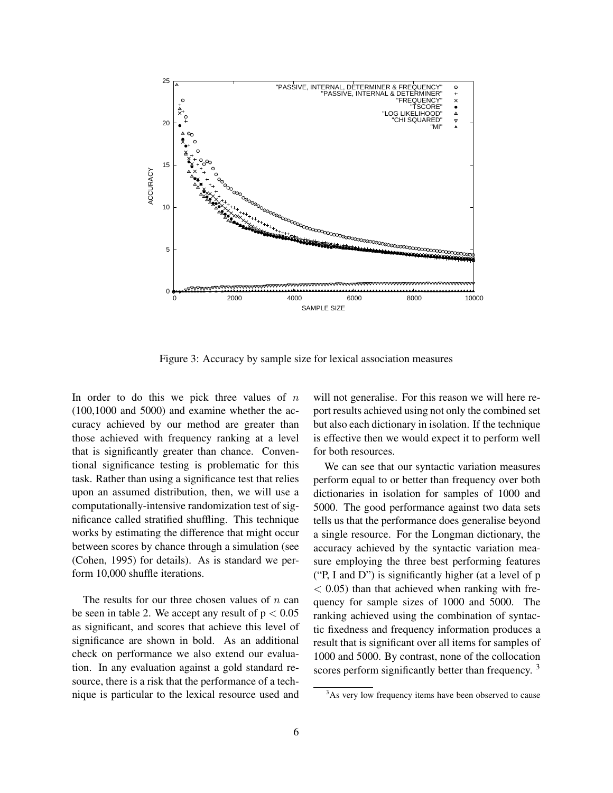

Figure 3: Accuracy by sample size for lexical association measures

In order to do this we pick three values of  $n$ (100,1000 and 5000) and examine whether the accuracy achieved by our method are greater than those achieved with frequency ranking at a level that is significantly greater than chance. Conventional significance testing is problematic for this task. Rather than using a significance test that relies upon an assumed distribution, then, we will use a computationally-intensive randomization test of significance called stratified shuffling. This technique works by estimating the difference that might occur between scores by chance through a simulation (see (Cohen, 1995) for details). As is standard we perform 10,000 shuffle iterations.

The results for our three chosen values of  $n$  can be seen in table 2. We accept any result of  $p < 0.05$ as significant, and scores that achieve this level of significance are shown in bold. As an additional check on performance we also extend our evaluation. In any evaluation against a gold standard resource, there is a risk that the performance of a technique is particular to the lexical resource used and will not generalise. For this reason we will here report results achieved using not only the combined set but also each dictionary in isolation. If the technique is effective then we would expect it to perform well for both resources.

We can see that our syntactic variation measures perform equal to or better than frequency over both dictionaries in isolation for samples of 1000 and 5000. The good performance against two data sets tells us that the performance does generalise beyond a single resource. For the Longman dictionary, the accuracy achieved by the syntactic variation measure employing the three best performing features ("P, I and D") is significantly higher (at a level of p  $<$  0.05) than that achieved when ranking with frequency for sample sizes of 1000 and 5000. The ranking achieved using the combination of syntactic fixedness and frequency information produces a result that is significant over all items for samples of 1000 and 5000. By contrast, none of the collocation scores perform significantly better than frequency. <sup>3</sup>

<sup>&</sup>lt;sup>3</sup>As very low frequency items have been observed to cause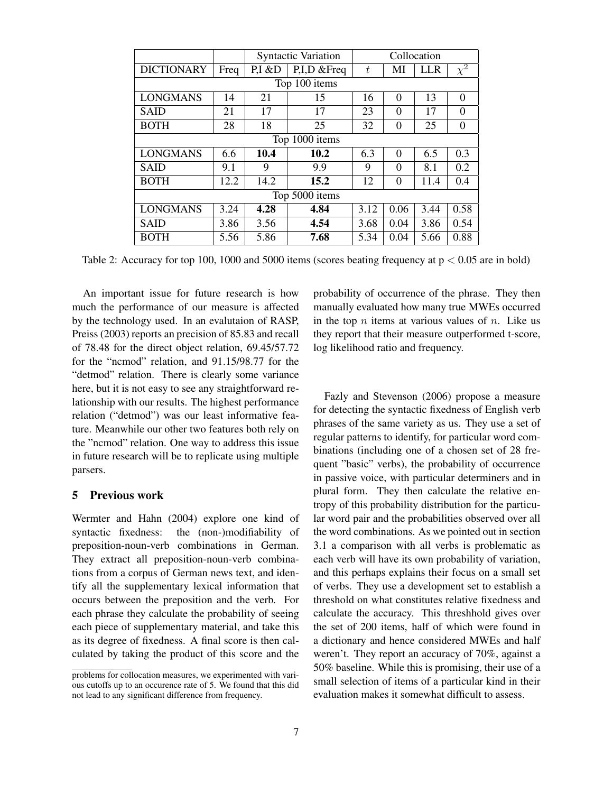|                   |      | <b>Syntactic Variation</b> |              | Collocation |          |      |          |  |
|-------------------|------|----------------------------|--------------|-------------|----------|------|----------|--|
| <b>DICTIONARY</b> | Freq | P.I & D                    | P.I.D & Freq | t           | MI       | LLR  | $\chi^2$ |  |
| Top 100 items     |      |                            |              |             |          |      |          |  |
| <b>LONGMANS</b>   | 14   | 21                         | 15           | 16          | $\Omega$ | 13   | $\Omega$ |  |
| <b>SAID</b>       | 21   | 17                         | 17           | 23          | 0        | 17   | $\Omega$ |  |
| <b>BOTH</b>       | 28   | 18                         | 25           | 32          | $\Omega$ | 25   | $\theta$ |  |
| Top 1000 items    |      |                            |              |             |          |      |          |  |
| <b>LONGMANS</b>   | 6.6  | 10.4                       | 10.2         | 6.3         | $\Omega$ | 6.5  | 0.3      |  |
| <b>SAID</b>       | 9.1  | 9                          | 9.9          | 9           | $\theta$ | 8.1  | 0.2      |  |
| <b>BOTH</b>       | 12.2 | 14.2                       | 15.2         | 12          | $\Omega$ | 11.4 | 0.4      |  |
| Top 5000 items    |      |                            |              |             |          |      |          |  |
| <b>LONGMANS</b>   | 3.24 | 4.28                       | 4.84         | 3.12        | 0.06     | 3.44 | 0.58     |  |
| <b>SAID</b>       | 3.86 | 3.56                       | 4.54         | 3.68        | 0.04     | 3.86 | 0.54     |  |
| <b>BOTH</b>       | 5.56 | 5.86                       | 7.68         | 5.34        | 0.04     | 5.66 | 0.88     |  |

Table 2: Accuracy for top 100, 1000 and 5000 items (scores beating frequency at  $p < 0.05$  are in bold)

An important issue for future research is how much the performance of our measure is affected by the technology used. In an evalutaion of RASP, Preiss (2003) reports an precision of 85.83 and recall of 78.48 for the direct object relation, 69.45/57.72 for the "ncmod" relation, and 91.15/98.77 for the "detmod" relation. There is clearly some variance here, but it is not easy to see any straightforward relationship with our results. The highest performance relation ("detmod") was our least informative feature. Meanwhile our other two features both rely on the "ncmod" relation. One way to address this issue in future research will be to replicate using multiple parsers.

# 5 Previous work

Wermter and Hahn (2004) explore one kind of syntactic fixedness: the (non-)modifiability of preposition-noun-verb combinations in German. They extract all preposition-noun-verb combinations from a corpus of German news text, and identify all the supplementary lexical information that occurs between the preposition and the verb. For each phrase they calculate the probability of seeing each piece of supplementary material, and take this as its degree of fixedness. A final score is then calculated by taking the product of this score and the probability of occurrence of the phrase. They then manually evaluated how many true MWEs occurred in the top  $n$  items at various values of  $n$ . Like us they report that their measure outperformed t-score, log likelihood ratio and frequency.

Fazly and Stevenson (2006) propose a measure for detecting the syntactic fixedness of English verb phrases of the same variety as us. They use a set of regular patterns to identify, for particular word combinations (including one of a chosen set of 28 frequent "basic" verbs), the probability of occurrence in passive voice, with particular determiners and in plural form. They then calculate the relative entropy of this probability distribution for the particular word pair and the probabilities observed over all the word combinations. As we pointed out in section 3.1 a comparison with all verbs is problematic as each verb will have its own probability of variation, and this perhaps explains their focus on a small set of verbs. They use a development set to establish a threshold on what constitutes relative fixedness and calculate the accuracy. This threshhold gives over the set of 200 items, half of which were found in a dictionary and hence considered MWEs and half weren't. They report an accuracy of 70%, against a 50% baseline. While this is promising, their use of a small selection of items of a particular kind in their evaluation makes it somewhat difficult to assess.

problems for collocation measures, we experimented with various cutoffs up to an occurence rate of 5. We found that this did not lead to any significant difference from frequency.